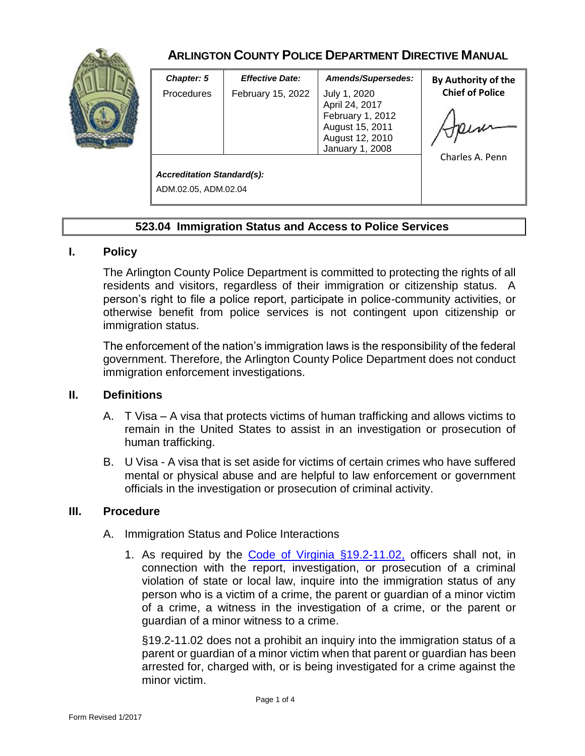

# **ARLINGTON COUNTY POLICE DEPARTMENT DIRECTIVE MANUAL**

| <b>Chapter: 5</b>                 | <b>Effective Date:</b> | Amends/Supersedes:                                                                                          | By Authority of the            |
|-----------------------------------|------------------------|-------------------------------------------------------------------------------------------------------------|--------------------------------|
| <b>Procedures</b>                 | February 15, 2022      | July 1, 2020<br>April 24, 2017<br>February 1, 2012<br>August 15, 2011<br>August 12, 2010<br>January 1, 2008 | <b>Chief of Police</b><br>Heim |
|                                   |                        |                                                                                                             | Charles A. Penn                |
| <b>Accreditation Standard(s):</b> |                        |                                                                                                             |                                |
| ADM.02.05, ADM.02.04              |                        |                                                                                                             |                                |

## **523.04 Immigration Status and Access to Police Services**

### **I. Policy**

The Arlington County Police Department is committed to protecting the rights of all residents and visitors, regardless of their immigration or citizenship status. A person's right to file a police report, participate in police-community activities, or otherwise benefit from police services is not contingent upon citizenship or immigration status.

The enforcement of the nation's immigration laws is the responsibility of the federal government. Therefore, the Arlington County Police Department does not conduct immigration enforcement investigations.

### **II. Definitions**

- A. T Visa A visa that protects victims of human trafficking and allows victims to remain in the United States to assist in an investigation or prosecution of human trafficking.
- B. U Visa A visa that is set aside for victims of certain crimes who have suffered mental or physical abuse and are helpful to law enforcement or government officials in the investigation or prosecution of criminal activity.

#### **III. Procedure**

- A. Immigration Status and Police Interactions
	- 1. As required by the [Code of Virginia §19.2-11.02,](https://law.lis.virginia.gov/vacode/19.2-11.02/) officers shall not, in connection with the report, investigation, or prosecution of a criminal violation of state or local law, inquire into the immigration status of any person who is a victim of a crime, the parent or guardian of a minor victim of a crime, a witness in the investigation of a crime, or the parent or guardian of a minor witness to a crime.

§19.2-11.02 does not a prohibit an inquiry into the immigration status of a parent or guardian of a minor victim when that parent or guardian has been arrested for, charged with, or is being investigated for a crime against the minor victim.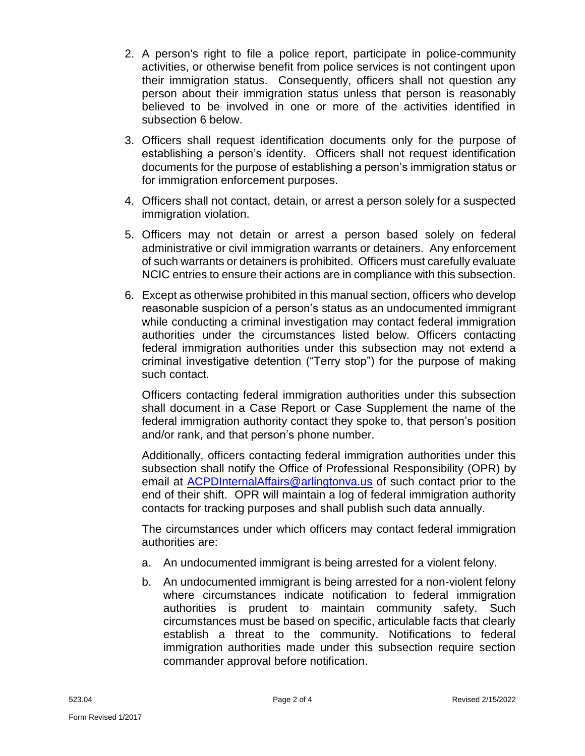- 2. A person's right to file a police report, participate in police-community activities, or otherwise benefit from police services is not contingent upon their immigration status. Consequently, officers shall not question any person about their immigration status unless that person is reasonably believed to be involved in one or more of the activities identified in subsection 6 below.
- 3. Officers shall request identification documents only for the purpose of establishing a person's identity. Officers shall not request identification documents for the purpose of establishing a person's immigration status or for immigration enforcement purposes.
- 4. Officers shall not contact, detain, or arrest a person solely for a suspected immigration violation.
- 5. Officers may not detain or arrest a person based solely on federal administrative or civil immigration warrants or detainers. Any enforcement of such warrants or detainers is prohibited. Officers must carefully evaluate NCIC entries to ensure their actions are in compliance with this subsection.
- 6. Except as otherwise prohibited in this manual section, officers who develop reasonable suspicion of a person's status as an undocumented immigrant while conducting a criminal investigation may contact federal immigration authorities under the circumstances listed below. Officers contacting federal immigration authorities under this subsection may not extend a criminal investigative detention ("Terry stop") for the purpose of making such contact.

Officers contacting federal immigration authorities under this subsection shall document in a Case Report or Case Supplement the name of the federal immigration authority contact they spoke to, that person's position and/or rank, and that person's phone number.

Additionally, officers contacting federal immigration authorities under this subsection shall notify the Office of Professional Responsibility (OPR) by email at [ACPDInternalAffairs@arlingtonva.us](mailto:ACPDInternalAffairs@arlingtonva.us) of such contact prior to the end of their shift. OPR will maintain a log of federal immigration authority contacts for tracking purposes and shall publish such data annually.

The circumstances under which officers may contact federal immigration authorities are:

- a. An undocumented immigrant is being arrested for a violent felony.
- b. An undocumented immigrant is being arrested for a non-violent felony where circumstances indicate notification to federal immigration authorities is prudent to maintain community safety. Such circumstances must be based on specific, articulable facts that clearly establish a threat to the community. Notifications to federal immigration authorities made under this subsection require section commander approval before notification.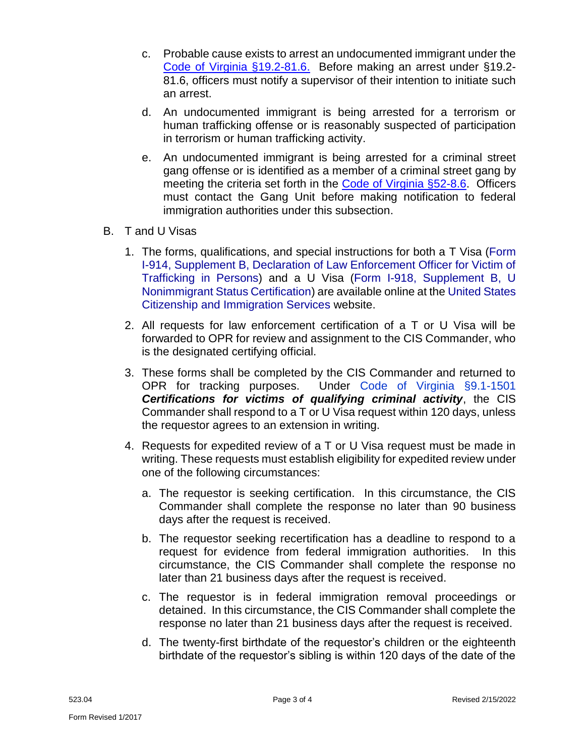- c. Probable cause exists to arrest an undocumented immigrant under the [Code of Virginia §19.2-81.6.](https://law.lis.virginia.gov/vacode/19.2-81.6/) Before making an arrest under §19.2- 81.6, officers must notify a supervisor of their intention to initiate such an arrest.
- d. An undocumented immigrant is being arrested for a terrorism or human trafficking offense or is reasonably suspected of participation in terrorism or human trafficking activity.
- e. An undocumented immigrant is being arrested for a criminal street gang offense or is identified as a member of a criminal street gang by meeting the criteria set forth in the [Code of Virginia](https://law.lis.virginia.gov/vacode/title52/chapter1/section52-8.6/) §52-8.6. Officers must contact the Gang Unit before making notification to federal immigration authorities under this subsection.
- B. T and U Visas
	- 1. The forms, qualifications, and special instructions for both a [T Visa](https://www.uscis.gov/i-914) [\(Form](https://www.uscis.gov/sites/default/files/document/forms/i-914supb.pdf)  [I-914, Supplement B, Declaration of Law Enforcement Officer for Victim of](https://www.uscis.gov/sites/default/files/document/forms/i-914supb.pdf)  [Trafficking in Persons\)](https://www.uscis.gov/sites/default/files/document/forms/i-914supb.pdf) and a [U Visa](https://www.uscis.gov/i-918) [\(Form I-918, Supplement B, U](https://www.uscis.gov/sites/default/files/document/forms/i-918supb.pdf)  [Nonimmigrant Status Certification\)](https://www.uscis.gov/sites/default/files/document/forms/i-918supb.pdf) are available online at th[e United States](https://www.uscis.gov/)  [Citizenship and Immigration Services](https://www.uscis.gov/) website.
	- 2. All requests for law enforcement certification of a T or U Visa will be forwarded to OPR for review and assignment to the CIS Commander, who is the designated certifying official.
	- 3. These forms shall be completed by the CIS Commander and returned to OPR for tracking purposes. Under [Code of Virginia §9.1-1501](https://law.lis.virginia.gov/vacode/9.1-1501) *Certifications for victims of qualifying criminal activity*, the CIS Commander shall respond to a T or U Visa request within 120 days, unless the requestor agrees to an extension in writing.
	- 4. Requests for expedited review of a T or U Visa request must be made in writing. These requests must establish eligibility for expedited review under one of the following circumstances:
		- a. The requestor is seeking certification. In this circumstance, the CIS Commander shall complete the response no later than 90 business days after the request is received.
		- b. The requestor seeking recertification has a deadline to respond to a request for evidence from federal immigration authorities. In this circumstance, the CIS Commander shall complete the response no later than 21 business days after the request is received.
		- c. The requestor is in federal immigration removal proceedings or detained. In this circumstance, the CIS Commander shall complete the response no later than 21 business days after the request is received.
		- d. The twenty-first birthdate of the requestor's children or the eighteenth birthdate of the requestor's sibling is within 120 days of the date of the